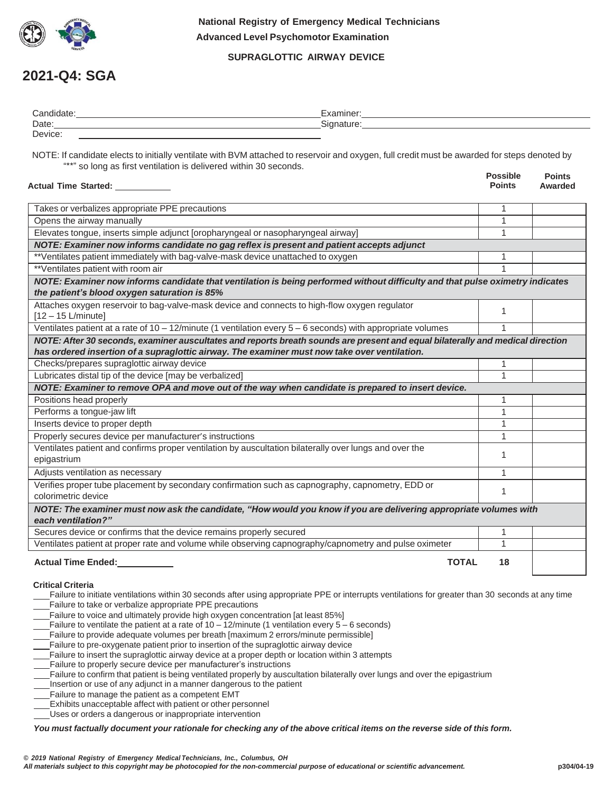

 **National Registry of Emergency Medical Technicians Advanced Level Psychomotor Examination**

## **SUPRAGLOTTIC AIRWAY DEVICE**

## **2021-Q4: SGA**

| Candid<br>uale. | :xaminer:               |
|-----------------|-------------------------|
| Date:           | - -<br>$\cdots$<br>1000 |
| Device:         |                         |

NOTE: If candidate elects to initially ventilate with BVM attached to reservoir and oxygen, full credit must be awarded for steps denoted by "\*\*" so long as first ventilation is delivered within 30 seconds.

| Actual Time Started: _____                                                                                                                                                                                                     | <b>Possible</b><br><b>Points</b> | <b>Points</b><br>Awarded |
|--------------------------------------------------------------------------------------------------------------------------------------------------------------------------------------------------------------------------------|----------------------------------|--------------------------|
| Takes or verbalizes appropriate PPE precautions                                                                                                                                                                                |                                  |                          |
| Opens the airway manually                                                                                                                                                                                                      | 1                                |                          |
| Elevates tongue, inserts simple adjunct [oropharyngeal or nasopharyngeal airway]                                                                                                                                               | 1                                |                          |
| NOTE: Examiner now informs candidate no gag reflex is present and patient accepts adjunct                                                                                                                                      |                                  |                          |
| **Ventilates patient immediately with bag-valve-mask device unattached to oxygen                                                                                                                                               |                                  |                          |
| **Ventilates patient with room air                                                                                                                                                                                             |                                  |                          |
| NOTE: Examiner now informs candidate that ventilation is being performed without difficulty and that pulse oximetry indicates<br>the patient's blood oxygen saturation is 85%                                                  |                                  |                          |
| Attaches oxygen reservoir to bag-valve-mask device and connects to high-flow oxygen regulator<br>$[12 - 15$ L/minute]                                                                                                          |                                  |                          |
| Ventilates patient at a rate of $10 - 12$ /minute (1 ventilation every $5 - 6$ seconds) with appropriate volumes                                                                                                               |                                  |                          |
| NOTE: After 30 seconds, examiner auscultates and reports breath sounds are present and equal bilaterally and medical direction<br>has ordered insertion of a supraglottic airway. The examiner must now take over ventilation. |                                  |                          |
| Checks/prepares supraglottic airway device                                                                                                                                                                                     |                                  |                          |
| Lubricates distal tip of the device [may be verbalized]                                                                                                                                                                        |                                  |                          |
| NOTE: Examiner to remove OPA and move out of the way when candidate is prepared to insert device.                                                                                                                              |                                  |                          |
| Positions head properly                                                                                                                                                                                                        |                                  |                          |
| Performs a tongue-jaw lift                                                                                                                                                                                                     | 1                                |                          |
| Inserts device to proper depth                                                                                                                                                                                                 | 1                                |                          |
| Properly secures device per manufacturer's instructions                                                                                                                                                                        |                                  |                          |
| Ventilates patient and confirms proper ventilation by auscultation bilaterally over lungs and over the<br>epigastrium                                                                                                          | 1                                |                          |
| Adjusts ventilation as necessary                                                                                                                                                                                               | 1                                |                          |
| Verifies proper tube placement by secondary confirmation such as capnography, capnometry, EDD or<br>colorimetric device                                                                                                        |                                  |                          |
| NOTE: The examiner must now ask the candidate, "How would you know if you are delivering appropriate volumes with<br>each ventilation?"                                                                                        |                                  |                          |
| Secures device or confirms that the device remains properly secured                                                                                                                                                            | $\mathbf{1}$                     |                          |
| Ventilates patient at proper rate and volume while observing capnography/capnometry and pulse oximeter                                                                                                                         | 1                                |                          |
| <b>TOTAL</b><br><b>Actual Time Ended:</b>                                                                                                                                                                                      | 18                               |                          |
| Critical Critoria                                                                                                                                                                                                              |                                  |                          |

#### **Critical Criteria**

- Failure to initiate ventilations within 30 seconds after using appropriate PPE or interrupts ventilations for greater than 30 seconds at any time Failure to take or verbalize appropriate PPE precautions
- Failure to voice and ultimately provide high oxygen concentration [at least 85%]
- Failure to ventilate the patient at a rate of 10 12/minute (1 ventilation every 5 6 seconds)
- Failure to provide adequate volumes per breath [maximum 2 errors/minute permissible]
- Failure to pre-oxygenate patient prior to insertion of the supraglottic airway device
- Failure to insert the supraglottic airway device at a proper depth or location within 3 attempts
- Failure to properly secure device per manufacturer's instructions
- Failure to confirm that patient is being ventilated properly by auscultation bilaterally over lungs and over the epigastrium
- Insertion or use of any adjunct in a manner dangerous to the patient
- Failure to manage the patient as a competent EMT
- Exhibits unacceptable affect with patient or other personnel
- Uses or orders a dangerous or inappropriate intervention

You must factually document your rationale for checking any of the above critical items on the reverse side of this form.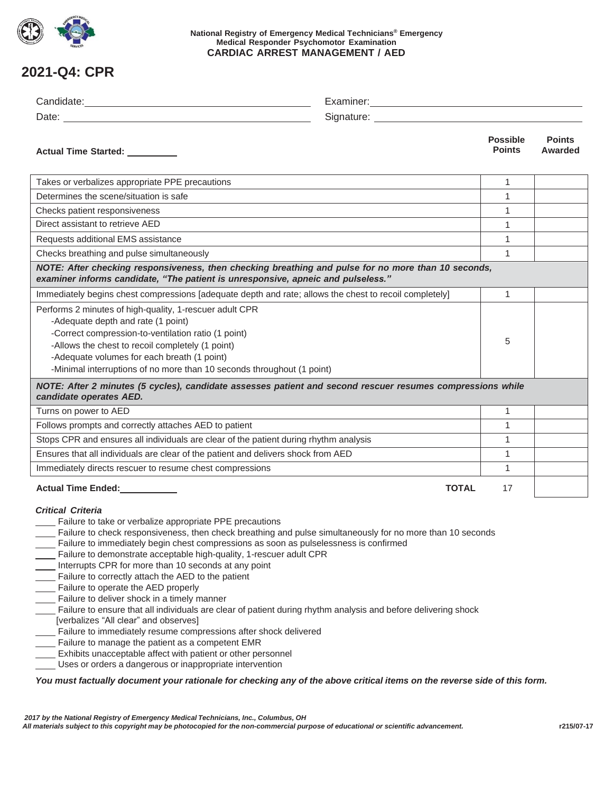

#### **National Registry of Emergency Medical Technicians® Emergency Medical Responder Psychomotor Examination CARDIAC ARREST MANAGEMENT / AED**

# **2021-Q4: CPR**

| Actual Time Started: _________                                                                                                                                                                                                                                                                                                                                                                                                                                                                                                                                                                                                                                                                                                                                                                                                                                                                                                                                                          |              | <b>Possible</b><br><b>Points</b> | <b>Points</b><br>Awarded |
|-----------------------------------------------------------------------------------------------------------------------------------------------------------------------------------------------------------------------------------------------------------------------------------------------------------------------------------------------------------------------------------------------------------------------------------------------------------------------------------------------------------------------------------------------------------------------------------------------------------------------------------------------------------------------------------------------------------------------------------------------------------------------------------------------------------------------------------------------------------------------------------------------------------------------------------------------------------------------------------------|--------------|----------------------------------|--------------------------|
| Takes or verbalizes appropriate PPE precautions                                                                                                                                                                                                                                                                                                                                                                                                                                                                                                                                                                                                                                                                                                                                                                                                                                                                                                                                         |              | 1                                |                          |
| Determines the scene/situation is safe                                                                                                                                                                                                                                                                                                                                                                                                                                                                                                                                                                                                                                                                                                                                                                                                                                                                                                                                                  |              | $\mathbf{1}$                     |                          |
| Checks patient responsiveness                                                                                                                                                                                                                                                                                                                                                                                                                                                                                                                                                                                                                                                                                                                                                                                                                                                                                                                                                           |              | 1                                |                          |
| Direct assistant to retrieve AED                                                                                                                                                                                                                                                                                                                                                                                                                                                                                                                                                                                                                                                                                                                                                                                                                                                                                                                                                        |              | $\mathbf{1}$                     |                          |
| Requests additional EMS assistance                                                                                                                                                                                                                                                                                                                                                                                                                                                                                                                                                                                                                                                                                                                                                                                                                                                                                                                                                      |              | $\mathbf{1}$                     |                          |
| Checks breathing and pulse simultaneously                                                                                                                                                                                                                                                                                                                                                                                                                                                                                                                                                                                                                                                                                                                                                                                                                                                                                                                                               |              | $\mathbf{1}$                     |                          |
| NOTE: After checking responsiveness, then checking breathing and pulse for no more than 10 seconds,<br>examiner informs candidate, "The patient is unresponsive, apneic and pulseless."                                                                                                                                                                                                                                                                                                                                                                                                                                                                                                                                                                                                                                                                                                                                                                                                 |              |                                  |                          |
| Immediately begins chest compressions [adequate depth and rate; allows the chest to recoil completely]                                                                                                                                                                                                                                                                                                                                                                                                                                                                                                                                                                                                                                                                                                                                                                                                                                                                                  |              | 1                                |                          |
| Performs 2 minutes of high-quality, 1-rescuer adult CPR<br>-Adequate depth and rate (1 point)<br>-Correct compression-to-ventilation ratio (1 point)<br>-Allows the chest to recoil completely (1 point)<br>-Adequate volumes for each breath (1 point)<br>-Minimal interruptions of no more than 10 seconds throughout (1 point)                                                                                                                                                                                                                                                                                                                                                                                                                                                                                                                                                                                                                                                       |              | 5                                |                          |
| NOTE: After 2 minutes (5 cycles), candidate assesses patient and second rescuer resumes compressions while<br>candidate operates AED.                                                                                                                                                                                                                                                                                                                                                                                                                                                                                                                                                                                                                                                                                                                                                                                                                                                   |              |                                  |                          |
| Turns on power to AED                                                                                                                                                                                                                                                                                                                                                                                                                                                                                                                                                                                                                                                                                                                                                                                                                                                                                                                                                                   |              | $\mathbf{1}$                     |                          |
| Follows prompts and correctly attaches AED to patient                                                                                                                                                                                                                                                                                                                                                                                                                                                                                                                                                                                                                                                                                                                                                                                                                                                                                                                                   |              | $\mathbf{1}$                     |                          |
| Stops CPR and ensures all individuals are clear of the patient during rhythm analysis                                                                                                                                                                                                                                                                                                                                                                                                                                                                                                                                                                                                                                                                                                                                                                                                                                                                                                   |              | 1                                |                          |
| Ensures that all individuals are clear of the patient and delivers shock from AED                                                                                                                                                                                                                                                                                                                                                                                                                                                                                                                                                                                                                                                                                                                                                                                                                                                                                                       |              | $\mathbf{1}$                     |                          |
| Immediately directs rescuer to resume chest compressions                                                                                                                                                                                                                                                                                                                                                                                                                                                                                                                                                                                                                                                                                                                                                                                                                                                                                                                                |              | 1                                |                          |
| Actual Time Ended:<br><u>Letteral</u>                                                                                                                                                                                                                                                                                                                                                                                                                                                                                                                                                                                                                                                                                                                                                                                                                                                                                                                                                   | <b>TOTAL</b> | 17                               |                          |
| <b>Critical Criteria</b><br>Failure to take or verbalize appropriate PPE precautions<br>Failure to check responsiveness, then check breathing and pulse simultaneously for no more than 10 seconds<br>Failure to immediately begin chest compressions as soon as pulselessness is confirmed<br>Failure to demonstrate acceptable high-quality, 1-rescuer adult CPR<br>Interrupts CPR for more than 10 seconds at any point<br>Failure to correctly attach the AED to the patient<br>Failure to operate the AED properly<br>- Failure to deliver shock in a timely manner<br>Failure to ensure that all individuals are clear of patient during rhythm analysis and before delivering shock<br>[verbalizes "All clear" and observes]<br>Failure to immediately resume compressions after shock delivered<br>Failure to manage the patient as a competent EMR<br>Exhibits unacceptable affect with patient or other personnel<br>Uses or orders a dangerous or inappropriate intervention |              |                                  |                          |
| You must factually document your rationale for checking any of the above critical items on the reverse side of this form.                                                                                                                                                                                                                                                                                                                                                                                                                                                                                                                                                                                                                                                                                                                                                                                                                                                               |              |                                  |                          |